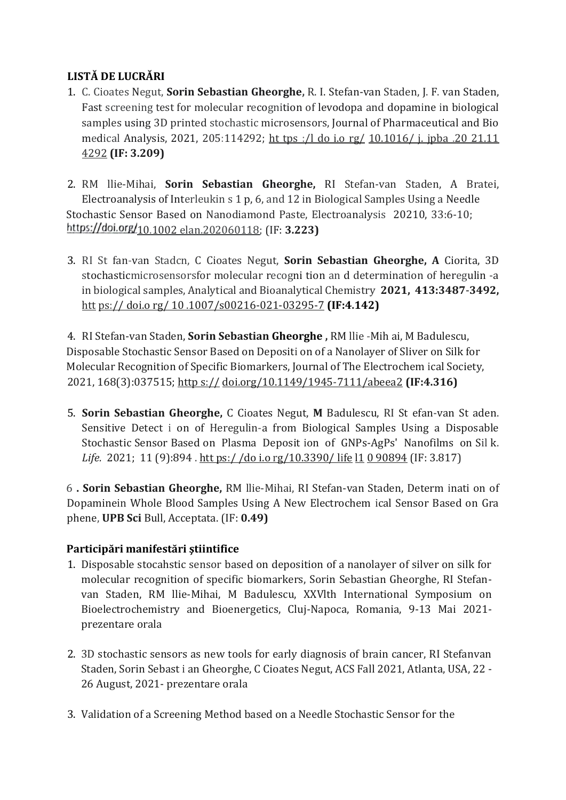## **LISTĂ DE LUCRĂRI**

- 1. C. Cioates Negut, **Sorin Sebastian Gheorghe,** R. I. Stefan-van Staden, J. F. van Staden, Fast screening test for molecular recognition of levodopa and dopamine in biological samples using 3D printed stochastic microsensors, Journal of Pharmaceutical and Bio medical Analysis, 2021, 205:114292; ht tps :/l do i.o rg/ 10.1016/ j. jpba .20 21.11 4292 **(IF: 3.209)**
- 2. RM llie-Mihai, **Sorin Sebastian Gheorghe,** RI Stefan-van Staden, A Bratei, Electroanalysis of Interleukin s 1 p, 6, and 12 in Biological Samples Using a Needle Stochastic Sensor Based on Nanodiamond Paste, Electroanalysis 20210, 33:6-10; https://doi.org/<sub>10.1002 elan.202060118; (IF: **3.223**)</sub>
- 3. RI St fan-van Stadcn, C Cioates Negut, **Sorin Sebastian Gheorghe, A** Ciorita, 3D stochasticmicrosensorsfor molecular recogni tion an d determination of heregulin -a in biological samples, Analytical and Bioanalytical Chemistry **2021, 413:3487-3492,**  htt ps:// doi.o rg/ 10 .1007/s00216-021-03295-7 **(IF:4.142)**

4. RI Stefan-van Staden, **Sorin Sebastian Gheorghe ,** RM llie -Mih ai, M Badulescu, Disposable Stochastic Sensor Based on Depositi on of a Nanolayer of Sliver on Silk for Molecular Recognition of Specific Biomarkers, Journal of The Electrochem ical Society, 2021, 168(3):037515; http s:// doi.org/10.1149/1945-7111/abeea2 **(IF:4.316)** 

5. **Sorin Sebastian Gheorghe,** C Cioates Negut, **M** Badulescu, RI St efan-van St aden. Sensitive Detect i on of Heregulin-a from Biological Samples Using a Disposable Stochastic Sensor Based on Plasma Deposit ion of GNPs-AgPs' Nanofilms on Sil k. *Life.* 2021; 11 (9):894. htt ps://do i.o rg/10.3390/ life 11 0 90894 (IF: 3.817)

6 **. Sorin Sebastian Gheorghe,** RM llie-Mihai, RI Stefan-van Staden, Determ inati on of Dopaminein Whole Blood Samples Using A New Electrochem ical Sensor Based on Gra phene, **UPB Sci** Bull, Acceptata. (IF: **0.49)**

## **Participări manifestări ştiintifice**

- 1. Disposable stocahstic sensor based on deposition of a nanolayer of silver on silk for molecular recognition of specific biomarkers, Sorin Sebastian Gheorghe, RI Stefanvan Staden, RM llie-Mihai, M Badulescu, XXVlth International Symposium on Bioelectrochemistry and Bioenergetics, Cluj-Napoca, Romania, 9-13 Mai 2021 prezentare orala
- 2. 3D stochastic sensors as new tools for early diagnosis of brain cancer, RI Stefanvan Staden, Sorin Sebast i an Gheorghe, C Cioates Negut, ACS Fall 2021, Atlanta, USA, 22 - 26 August, 2021- prezentare orala
- 3. Validation of a Screening Method based on a Needle Stochastic Sensor for the